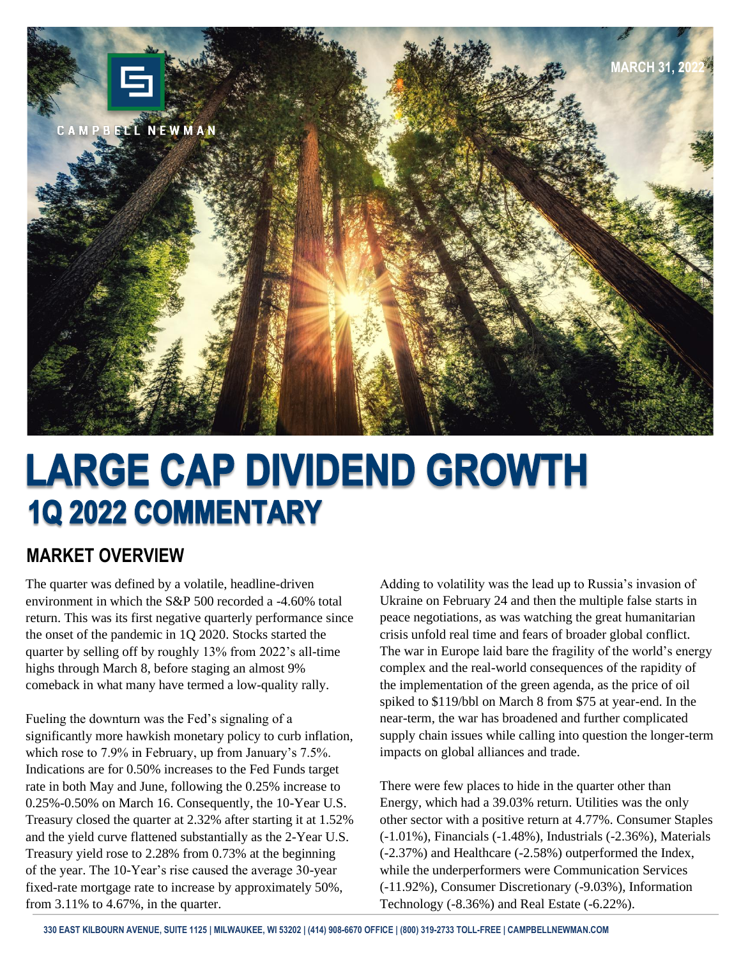

# **LARGE CAP DIVIDEND GROWTH 1Q 2022 COMMENTARY**

#### **MARKET OVERVIEW**

The quarter was defined by a volatile, headline-driven environment in which the S&P 500 recorded a -4.60% total return. This was its first negative quarterly performance since the onset of the pandemic in 1Q 2020. Stocks started the quarter by selling off by roughly 13% from 2022's all-time highs through March 8, before staging an almost 9% comeback in what many have termed a low-quality rally.

Fueling the downturn was the Fed's signaling of a significantly more hawkish monetary policy to curb inflation, which rose to 7.9% in February, up from January's 7.5%. Indications are for 0.50% increases to the Fed Funds target rate in both May and June, following the 0.25% increase to 0.25%-0.50% on March 16. Consequently, the 10-Year U.S. Treasury closed the quarter at 2.32% after starting it at 1.52% and the yield curve flattened substantially as the 2-Year U.S. Treasury yield rose to 2.28% from 0.73% at the beginning of the year. The 10-Year's rise caused the average 30-year fixed-rate mortgage rate to increase by approximately 50%, from 3.11% to 4.67%, in the quarter.

Adding to volatility was the lead up to Russia's invasion of Ukraine on February 24 and then the multiple false starts in peace negotiations, as was watching the great humanitarian crisis unfold real time and fears of broader global conflict. The war in Europe laid bare the fragility of the world's energy complex and the real-world consequences of the rapidity of the implementation of the green agenda, as the price of oil spiked to \$119/bbl on March 8 from \$75 at year-end. In the near-term, the war has broadened and further complicated supply chain issues while calling into question the longer-term impacts on global alliances and trade.

There were few places to hide in the quarter other than Energy, which had a 39.03% return. Utilities was the only other sector with a positive return at 4.77%. Consumer Staples (-1.01%), Financials (-1.48%), Industrials (-2.36%), Materials (-2.37%) and Healthcare (-2.58%) outperformed the Index, while the underperformers were Communication Services (-11.92%), Consumer Discretionary (-9.03%), Information Technology (-8.36%) and Real Estate (-6.22%).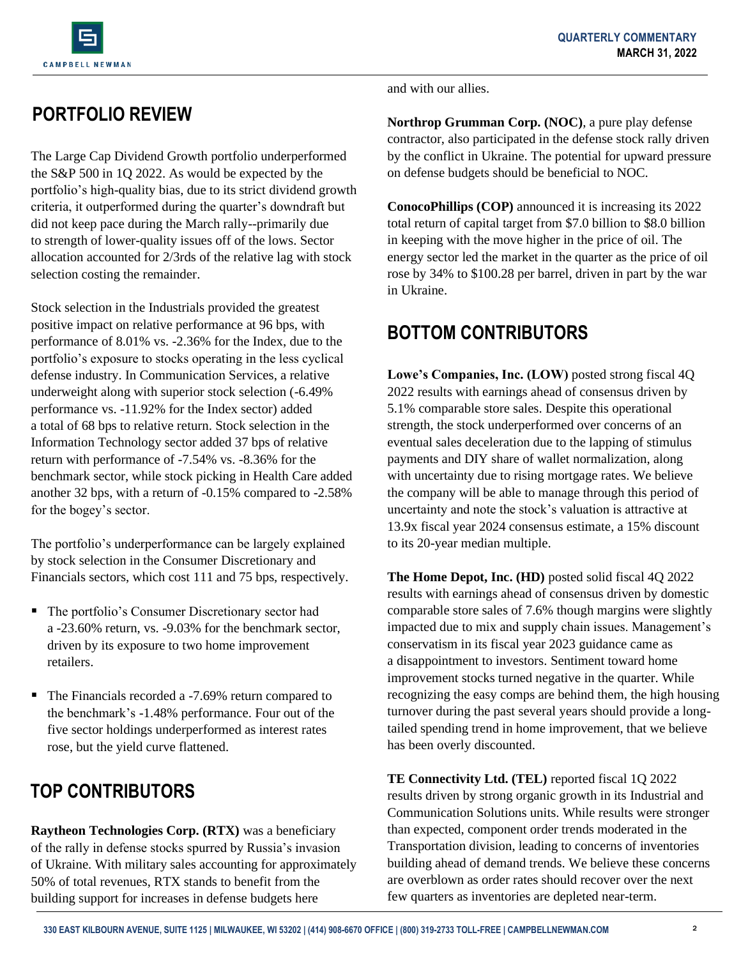

# **PORTFOLIO REVIEW**

The Large Cap Dividend Growth portfolio underperformed the S&P 500 in 1Q 2022. As would be expected by the portfolio's high-quality bias, due to its strict dividend growth criteria, it outperformed during the quarter's downdraft but did not keep pace during the March rally--primarily due to strength of lower-quality issues off of the lows. Sector allocation accounted for 2/3rds of the relative lag with stock selection costing the remainder.

Stock selection in the Industrials provided the greatest positive impact on relative performance at 96 bps, with performance of 8.01% vs. -2.36% for the Index, due to the portfolio's exposure to stocks operating in the less cyclical defense industry. In Communication Services, a relative underweight along with superior stock selection (-6.49% performance vs. -11.92% for the Index sector) added a total of 68 bps to relative return. Stock selection in the Information Technology sector added 37 bps of relative return with performance of -7.54% vs. -8.36% for the benchmark sector, while stock picking in Health Care added another 32 bps, with a return of -0.15% compared to -2.58% for the bogey's sector.

The portfolio's underperformance can be largely explained by stock selection in the Consumer Discretionary and Financials sectors, which cost 111 and 75 bps, respectively.

- The portfolio's Consumer Discretionary sector had a -23.60% return, vs. -9.03% for the benchmark sector, driven by its exposure to two home improvement retailers.
- The Financials recorded a -7.69% return compared to the benchmark's -1.48% performance. Four out of the five sector holdings underperformed as interest rates rose, but the yield curve flattened.

# **TOP CONTRIBUTORS**

**Raytheon Technologies Corp. (RTX)** was a beneficiary of the rally in defense stocks spurred by Russia's invasion of Ukraine. With military sales accounting for approximately 50% of total revenues, RTX stands to benefit from the building support for increases in defense budgets here

and with our allies.

**Northrop Grumman Corp. (NOC)**, a pure play defense contractor, also participated in the defense stock rally driven by the conflict in Ukraine. The potential for upward pressure on defense budgets should be beneficial to NOC.

**ConocoPhillips (COP)** announced it is increasing its 2022 total return of capital target from \$7.0 billion to \$8.0 billion in keeping with the move higher in the price of oil. The energy sector led the market in the quarter as the price of oil rose by 34% to \$100.28 per barrel, driven in part by the war in Ukraine.

#### **BOTTOM CONTRIBUTORS**

**Lowe's Companies, Inc. (LOW)** posted strong fiscal 4Q 2022 results with earnings ahead of consensus driven by 5.1% comparable store sales. Despite this operational strength, the stock underperformed over concerns of an eventual sales deceleration due to the lapping of stimulus payments and DIY share of wallet normalization, along with uncertainty due to rising mortgage rates. We believe the company will be able to manage through this period of uncertainty and note the stock's valuation is attractive at 13.9x fiscal year 2024 consensus estimate, a 15% discount to its 20-year median multiple.

**The Home Depot, Inc. (HD)** posted solid fiscal 4Q 2022 results with earnings ahead of consensus driven by domestic comparable store sales of 7.6% though margins were slightly impacted due to mix and supply chain issues. Management's conservatism in its fiscal year 2023 guidance came as a disappointment to investors. Sentiment toward home improvement stocks turned negative in the quarter. While recognizing the easy comps are behind them, the high housing turnover during the past several years should provide a longtailed spending trend in home improvement, that we believe has been overly discounted.

**TE Connectivity Ltd. (TEL)** reported fiscal 1Q 2022 results driven by strong organic growth in its Industrial and Communication Solutions units. While results were stronger than expected, component order trends moderated in the Transportation division, leading to concerns of inventories building ahead of demand trends. We believe these concerns are overblown as order rates should recover over the next few quarters as inventories are depleted near-term.